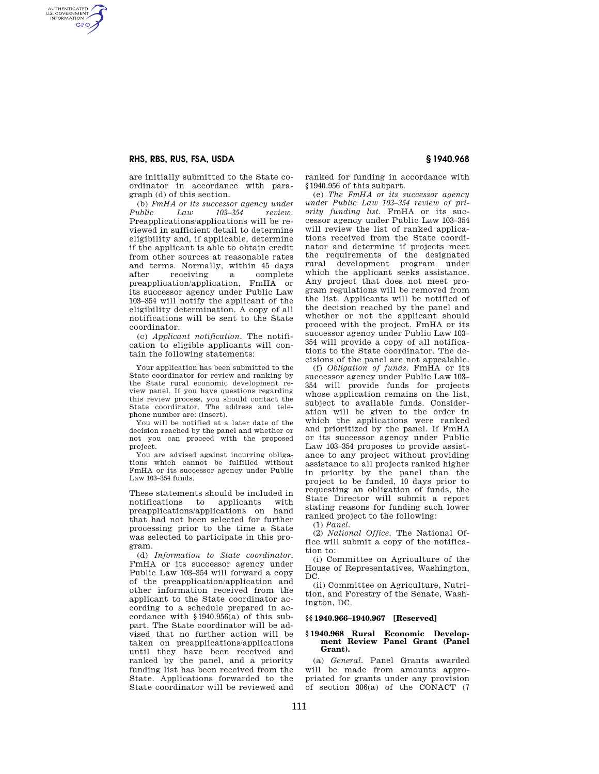# **RHS, RBS, RUS, FSA, USDA § 1940.968**

AUTHENTICATED<br>U.S. GOVERNMENT<br>INFORMATION **GPO** 

> are initially submitted to the State coordinator in accordance with paragraph (d) of this section.

(b) *FmHA or its successor agency under Public Law 103–354 review.* Preapplications/applications will be reviewed in sufficient detail to determine eligibility and, if applicable, determine if the applicant is able to obtain credit from other sources at reasonable rates and terms. Normally, within 45 days<br>after receiving a complete after receiving a preapplication/application, FmHA or its successor agency under Public Law 103–354 will notify the applicant of the eligibility determination. A copy of all notifications will be sent to the State coordinator.

(c) *Applicant notification.* The notification to eligible applicants will contain the following statements:

Your application has been submitted to the State coordinator for review and ranking by the State rural economic development review panel. If you have questions regarding this review process, you should contact the State coordinator. The address and telephone number are: (insert).

You will be notified at a later date of the decision reached by the panel and whether or not you can proceed with the proposed project.

You are advised against incurring obligations which cannot be fulfilled without FmHA or its successor agency under Public Law 103–354 funds.

These statements should be included in notifications to applicants with preapplications/applications on hand that had not been selected for further processing prior to the time a State was selected to participate in this program.

(d) *Information to State coordinator.*  FmHA or its successor agency under Public Law 103–354 will forward a copy of the preapplication/application and other information received from the applicant to the State coordinator according to a schedule prepared in accordance with §1940.956(a) of this subpart. The State coordinator will be advised that no further action will be taken on preapplications/applications until they have been received and ranked by the panel, and a priority funding list has been received from the State. Applications forwarded to the State coordinator will be reviewed and ranked for funding in accordance with §1940.956 of this subpart.

(e) *The FmHA or its successor agency under Public Law 103–354 review of priority funding list.* FmHA or its successor agency under Public Law 103–354 will review the list of ranked applications received from the State coordinator and determine if projects meet the requirements of the designated rural development program under which the applicant seeks assistance. Any project that does not meet program regulations will be removed from the list. Applicants will be notified of the decision reached by the panel and whether or not the applicant should proceed with the project. FmHA or its successor agency under Public Law 103– 354 will provide a copy of all notifications to the State coordinator. The decisions of the panel are not appealable.

(f) *Obligation of funds.* FmHA or its successor agency under Public Law 103– 354 will provide funds for projects whose application remains on the list, subject to available funds. Consideration will be given to the order in which the applications were ranked and prioritized by the panel. If FmHA or its successor agency under Public Law 103–354 proposes to provide assistance to any project without providing assistance to all projects ranked higher in priority by the panel than the project to be funded, 10 days prior to requesting an obligation of funds, the State Director will submit a report stating reasons for funding such lower ranked project to the following:

(1) *Panel.* 

(2) *National Office.* The National Office will submit a copy of the notification to:

(i) Committee on Agriculture of the House of Representatives, Washington, DC.

(ii) Committee on Agriculture, Nutrition, and Forestry of the Senate, Washington, DC.

## **§§ 1940.966–1940.967 [Reserved]**

## **§ 1940.968 Rural Economic Development Review Panel Grant (Panel Grant).**

(a) *General.* Panel Grants awarded will be made from amounts appropriated for grants under any provision of section  $306(a)$  of the CONACT  $(7)$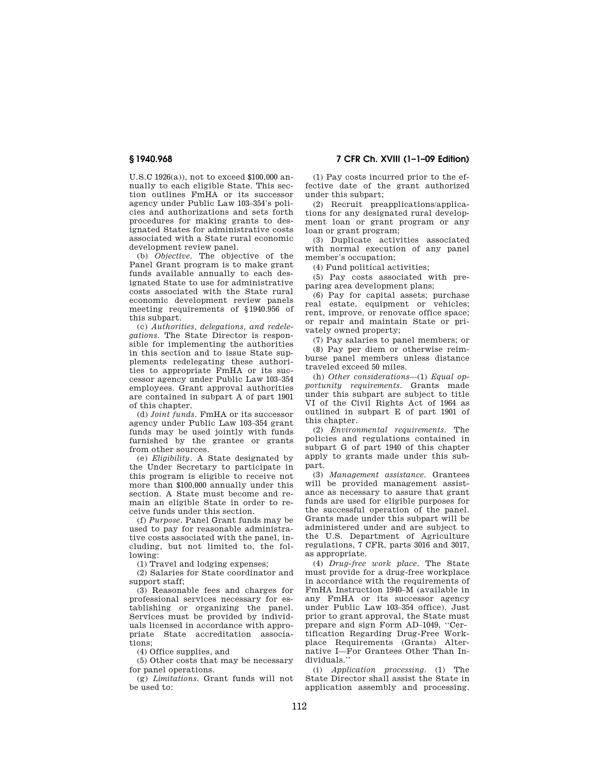U.S.C 1926(a)), not to exceed \$100,000 annually to each eligible State. This section outlines FmHA or its successor agency under Public Law 103–354's policies and authorizations and sets forth procedures for making grants to designated States for administrative costs associated with a State rural economic development review panel.

(b) *Objective.* The objective of the Panel Grant program is to make grant funds available annually to each designated State to use for administrative costs associated with the State rural economic development review panels meeting requirements of §1940.956 of this subpart.

(c) *Authorities, delegations, and redelegations.* The State Director is responsible for implementing the authorities in this section and to issue State supplements redelegating these authorities to appropriate FmHA or its successor agency under Public Law 103–354 employees. Grant approval authorities are contained in subpart A of part 1901 of this chapter.

(d) *Joint funds.* FmHA or its successor agency under Public Law 103–354 grant funds may be used jointly with funds furnished by the grantee or grants from other sources.

(e) *Eligibility.* A State designated by the Under Secretary to participate in this program is eligible to receive not more than \$100,000 annually under this section. A State must become and remain an eligible State in order to receive funds under this section.

(f) *Purpose.* Panel Grant funds may be used to pay for reasonable administrative costs associated with the panel, including, but not limited to, the following:

(1) Travel and lodging expenses;

(2) Salaries for State coordinator and support staff;

(3) Reasonable fees and charges for professional services necessary for establishing or organizing the panel. Services must be provided by individuals licensed in accordance with appropriate State accreditation associations;

(4) Office supplies, and

(5) Other costs that may be necessary for panel operations.

(g) *Limitations.* Grant funds will not be used to:

(1) Pay costs incurred prior to the effective date of the grant authorized under this subpart;

(2) Recruit preapplications/applications for any designated rural development loan or grant program or any loan or grant program;

(3) Duplicate activities associated with normal execution of any panel member's occupation;

(4) Fund political activities;

(5) Pay costs associated with preparing area development plans;

(6) Pay for capital assets; purchase real estate, equipment or vehicles; rent, improve, or renovate office space; or repair and maintain State or privately owned property;

(7) Pay salaries to panel members; or (8) Pay per diem or otherwise reimburse panel members unless distance traveled exceed 50 miles.

(h) *Other considerations*—(1) *Equal opportunity requirements.* Grants made under this subpart are subject to title VI of the Civil Rights Act of 1964 as outlined in subpart E of part 1901 of this chapter.

(2) *Environmental requirements.* The policies and regulations contained in subpart G of part 1940 of this chapter apply to grants made under this subpart.

(3) *Management assistance.* Grantees will be provided management assistance as necessary to assure that grant funds are used for eligible purposes for the successful operation of the panel. Grants made under this subpart will be administered under and are subject to the U.S. Department of Agriculture regulations, 7 CFR, parts 3016 and 3017, as appropriate.

(4) *Drug-free work place.* The State must provide for a drug-free workplace in accordance with the requirements of FmHA Instruction 1940–M (available in any FmHA or its successor agency under Public Law 103–354 office). Just prior to grant approval, the State must prepare and sign Form AD–1049, ''Certification Regarding Drug-Free Workplace Requirements (Grants) Alternative I—For Grantees Other Than Individuals.''

(i) *Application processing.* (1) The State Director shall assist the State in application assembly and processing.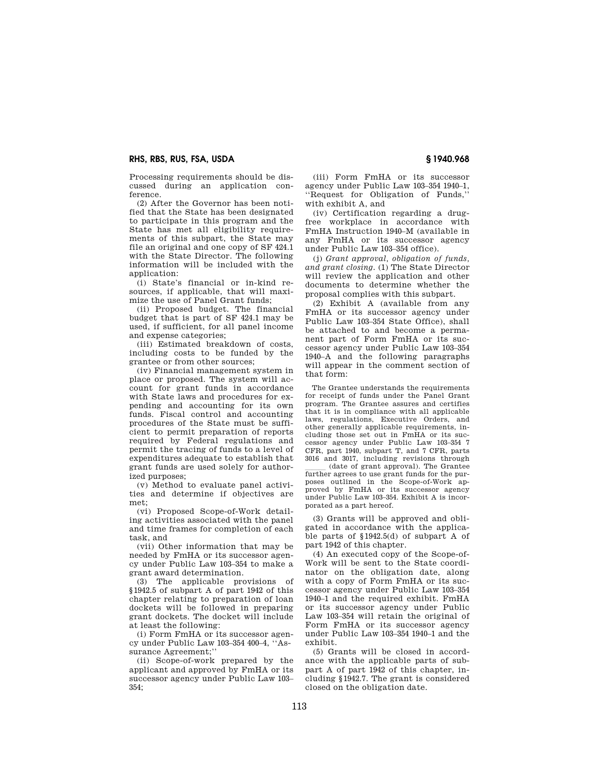# **RHS, RBS, RUS, FSA, USDA § 1940.968**

Processing requirements should be discussed during an application conference.

(2) After the Governor has been notified that the State has been designated to participate in this program and the State has met all eligibility requirements of this subpart, the State may file an original and one copy of SF 424.1 with the State Director. The following information will be included with the application:

(i) State's financial or in-kind resources, if applicable, that will maximize the use of Panel Grant funds;

(ii) Proposed budget. The financial budget that is part of SF 424.1 may be used, if sufficient, for all panel income and expense categories;

(iii) Estimated breakdown of costs, including costs to be funded by the grantee or from other sources;

(iv) Financial management system in place or proposed. The system will account for grant funds in accordance with State laws and procedures for expending and accounting for its own funds. Fiscal control and accounting procedures of the State must be sufficient to permit preparation of reports required by Federal regulations and permit the tracing of funds to a level of expenditures adequate to establish that grant funds are used solely for authorized purposes;

(v) Method to evaluate panel activities and determine if objectives are met;

(vi) Proposed Scope-of-Work detailing activities associated with the panel and time frames for completion of each task, and

(vii) Other information that may be needed by FmHA or its successor agency under Public Law 103–354 to make a grant award determination.

(3) The applicable provisions of §1942.5 of subpart A of part 1942 of this chapter relating to preparation of loan dockets will be followed in preparing grant dockets. The docket will include at least the following:

(i) Form FmHA or its successor agency under Public Law 103–354 400–4, ''Assurance Agreement;''

(ii) Scope-of-work prepared by the applicant and approved by FmHA or its successor agency under Public Law 103–  $354$ 

(iii) Form FmHA or its successor agency under Public Law 103–354 1940–1, ''Request for Obligation of Funds,'' with exhibit A, and

(iv) Certification regarding a drugfree workplace in accordance with FmHA Instruction 1940–M (available in any FmHA or its successor agency under Public Law 103–354 office).

(j) *Grant approval, obligation of funds, and grant closing.* (1) The State Director will review the application and other documents to determine whether the proposal complies with this subpart.

(2) Exhibit A (available from any FmHA or its successor agency under Public Law 103–354 State Office), shall be attached to and become a permanent part of Form FmHA or its successor agency under Public Law 103–354 1940–A and the following paragraphs will appear in the comment section of that form:

The Grantee understands the requirements for receipt of funds under the Panel Grant program. The Grantee assures and certifies that it is in compliance with all applicable laws, regulations, Executive Orders, and other generally applicable requirements, including those set out in FmHA or its successor agency under Public Law 103–354 7 CFR, part 1940, subpart T, and 7 CFR, parts 3016 and 3017, including revisions through (date of grant approval). The Grantee further agrees to use grant funds for the purposes outlined in the Scope-of-Work approved by FmHA or its successor agency under Public Law 103–354. Exhibit A is incorporated as a part hereof.

(3) Grants will be approved and obligated in accordance with the applicable parts of §1942.5(d) of subpart A of part 1942 of this chapter.

(4) An executed copy of the Scope-of-Work will be sent to the State coordinator on the obligation date, along with a copy of Form FmHA or its successor agency under Public Law 103–354 1940–1 and the required exhibit. FmHA or its successor agency under Public Law 103–354 will retain the original of Form FmHA or its successor agency under Public Law 103–354 1940–1 and the exhibit.

(5) Grants will be closed in accordance with the applicable parts of subpart A of part 1942 of this chapter, including §1942.7. The grant is considered closed on the obligation date.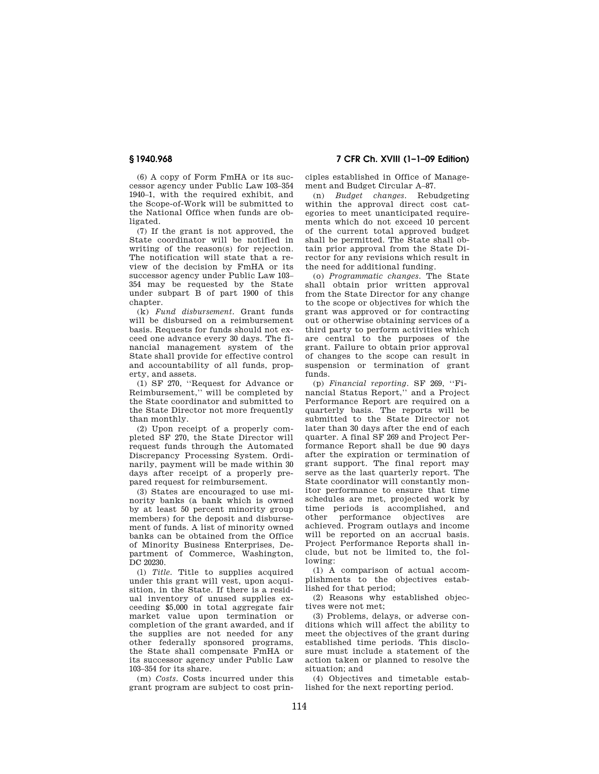(6) A copy of Form FmHA or its successor agency under Public Law 103–354 1940–1, with the required exhibit, and the Scope-of-Work will be submitted to the National Office when funds are obligated.

(7) If the grant is not approved, the State coordinator will be notified in writing of the reason(s) for rejection. The notification will state that a review of the decision by FmHA or its successor agency under Public Law 103– 354 may be requested by the State under subpart B of part 1900 of this chapter.

(k) *Fund disbursement.* Grant funds will be disbursed on a reimbursement basis. Requests for funds should not exceed one advance every 30 days. The financial management system of the State shall provide for effective control and accountability of all funds, property, and assets.

(1) SF 270, ''Request for Advance or Reimbursement,'' will be completed by the State coordinator and submitted to the State Director not more frequently than monthly.

(2) Upon receipt of a properly completed SF 270, the State Director will request funds through the Automated Discrepancy Processing System. Ordinarily, payment will be made within 30 days after receipt of a properly prepared request for reimbursement.

(3) States are encouraged to use minority banks (a bank which is owned by at least 50 percent minority group members) for the deposit and disbursement of funds. A list of minority owned banks can be obtained from the Office of Minority Business Enterprises, Department of Commerce, Washington, DC 20230.

(l) *Title.* Title to supplies acquired under this grant will vest, upon acquisition, in the State. If there is a residual inventory of unused supplies exceeding \$5,000 in total aggregate fair market value upon termination or completion of the grant awarded, and if the supplies are not needed for any other federally sponsored programs, the State shall compensate FmHA or its successor agency under Public Law 103–354 for its share.

(m) *Costs.* Costs incurred under this grant program are subject to cost prin-

**§ 1940.968 7 CFR Ch. XVIII (1–1–09 Edition)** 

ciples established in Office of Management and Budget Circular A–87.

(n) *Budget changes.* Rebudgeting within the approval direct cost categories to meet unanticipated requirements which do not exceed 10 percent of the current total approved budget shall be permitted. The State shall obtain prior approval from the State Director for any revisions which result in the need for additional funding.

(o) *Programmatic changes.* The State shall obtain prior written approval from the State Director for any change to the scope or objectives for which the grant was approved or for contracting out or otherwise obtaining services of a third party to perform activities which are central to the purposes of the grant. Failure to obtain prior approval of changes to the scope can result in suspension or termination of grant funds.

(p) *Financial reporting.* SF 269, ''Financial Status Report,'' and a Project Performance Report are required on a quarterly basis. The reports will be submitted to the State Director not later than 30 days after the end of each quarter. A final SF 269 and Project Performance Report shall be due 90 days after the expiration or termination of grant support. The final report may serve as the last quarterly report. The State coordinator will constantly monitor performance to ensure that time schedules are met, projected work by time periods is accomplished, and other performance objectives are achieved. Program outlays and income will be reported on an accrual basis. Project Performance Reports shall include, but not be limited to, the following:

(1) A comparison of actual accomplishments to the objectives established for that period;

(2) Reasons why established objectives were not met;

(3) Problems, delays, or adverse conditions which will affect the ability to meet the objectives of the grant during established time periods. This disclosure must include a statement of the action taken or planned to resolve the situation; and

(4) Objectives and timetable established for the next reporting period.